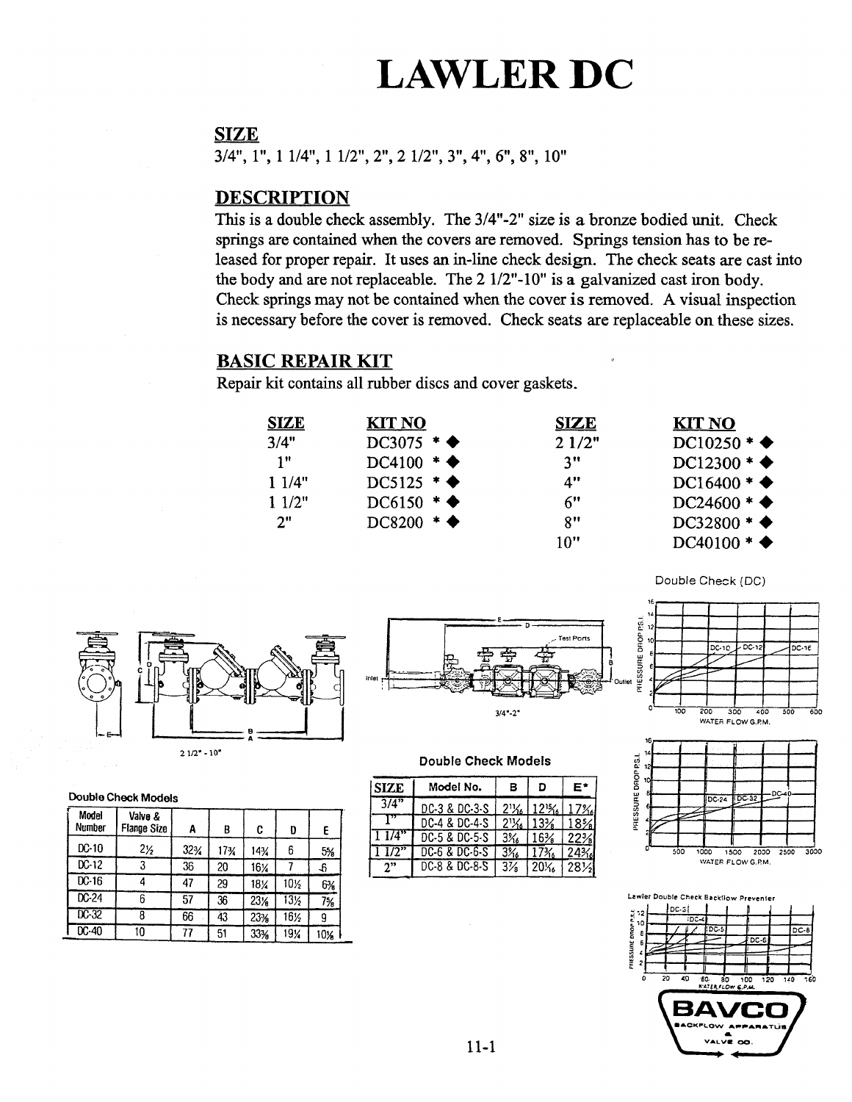# LAWLER DC

### SIZE

3/4", 1", <sup>1</sup> 1/4", <sup>1</sup> 1/2", 2", 2 1/2", 3", 4", 6", 8", 10"

## **DESCRIPTION**

This is a double check assembly. The 3/4"-2" size is a bronze bodied unit. Check springs are contained when the covers are removed. Springs tension has to be released for proper repair. It uses an in-line check design. The check seats are cast into the body and are not replaceable. The 2 1/2"-10" is a galvanized cast iron body. Check springs may not be contained when the cover is removed. A visual inspection is necessary before the cover is removed. Check seats are replaceable on these sizes.

## BASIC REPAIR KIT

Repair kit contains all rubber discs and cover gaskets.

| <b>SIZE</b> | <b>KIT NO</b>              | <b>SIZE</b> | <b>KIT NO</b>             |
|-------------|----------------------------|-------------|---------------------------|
| 3/4"        | DC3075 $*$ $\blacklozenge$ | 21/2"       | $DC10250 *$               |
| 1"          | $DC4100 * \blacklozenge$   | 3"          | $DC12300 * \blacklozenge$ |
| 11/4"       | DC5125 $*$ $\blacklozenge$ | 4"          | $DC16400 *$               |
| 11/2"       | $DC6150$ * $\blacklozenge$ | 6"          | $DC24600 *$               |
| 2"          | $DC8200$ * $\blacklozenge$ | 8"          | $DC32800 *$               |
|             |                            | 10"         | $DC40100 *$               |









#### Double Check Models

| <b>SIZE</b> | Model No.     | в  | D                                    | E*  |
|-------------|---------------|----|--------------------------------------|-----|
| 3/4"        | DC-3 & DC-3-S |    | $2\frac{1}{6}$ 12 <sup>1</sup> % 17% |     |
|             | DC-4 & DC-4-S |    | $2\frac{1}{6}$   $13\frac{1}{6}$     | 18% |
| 11/4'       | DC-5 & DC-5-S | 3% | $16\%$                               | 22% |
| 1 1/2"      | DC-6 & DC-6-S | 3% |                                      | 24% |
| ን"          | DC-8 & DC-8-S | 3¼ | $20\%$                               | 28½ |





|  | Double Check Models |
|--|---------------------|
|  |                     |

| Model<br>Number | Valve &<br><b>Flange Size</b> | A   | B   | C   | D               | E   |
|-----------------|-------------------------------|-----|-----|-----|-----------------|-----|
| $DC-10$         | $2\frac{1}{2}$                | 32% | 17% | 14% | 6               | 5%  |
| $DC-12$         | 3                             | 36  | 20  | 16% |                 | -ĥ  |
| $DC-16$         | 4                             | 47  | 29  | 18% | 10%             | 6%  |
| $DC-24$         | 6                             | 57  | 36  | 23% | 13 <sub>2</sub> | 7%  |
| $DC-32$         | 8                             | 66  | 43  | 23% | 16½             | 9   |
| $DC-40$         | 10                            | 77  | 51  | 33% | 19%             | 10% |